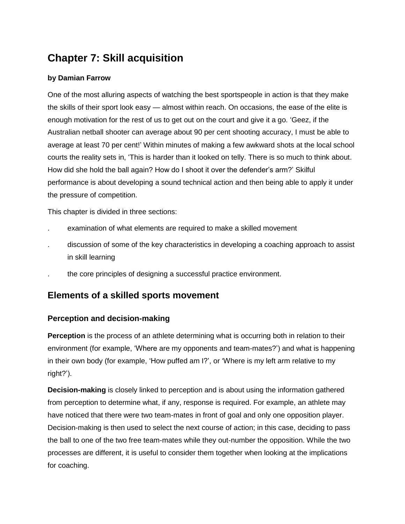# **Chapter 7: Skill acquisition**

## **by Damian Farrow**

One of the most alluring aspects of watching the best sportspeople in action is that they make the skills of their sport look easy — almost within reach. On occasions, the ease of the elite is enough motivation for the rest of us to get out on the court and give it a go. 'Geez, if the Australian netball shooter can average about 90 per cent shooting accuracy, I must be able to average at least 70 per cent!' Within minutes of making a few awkward shots at the local school courts the reality sets in, 'This is harder than it looked on telly. There is so much to think about. How did she hold the ball again? How do I shoot it over the defender's arm?' Skilful performance is about developing a sound technical action and then being able to apply it under the pressure of competition.

This chapter is divided in three sections:

- . examination of what elements are required to make a skilled movement
- . discussion of some of the key characteristics in developing a coaching approach to assist in skill learning
- . the core principles of designing a successful practice environment.

## **Elements of a skilled sports movement**

## **Perception and decision-making**

**Perception** is the process of an athlete determining what is occurring both in relation to their environment (for example, 'Where are my opponents and team-mates?') and what is happening in their own body (for example, 'How puffed am I?', or 'Where is my left arm relative to my right?').

**Decision-making** is closely linked to perception and is about using the information gathered from perception to determine what, if any, response is required. For example, an athlete may have noticed that there were two team-mates in front of goal and only one opposition player. Decision-making is then used to select the next course of action; in this case, deciding to pass the ball to one of the two free team-mates while they out-number the opposition. While the two processes are different, it is useful to consider them together when looking at the implications for coaching.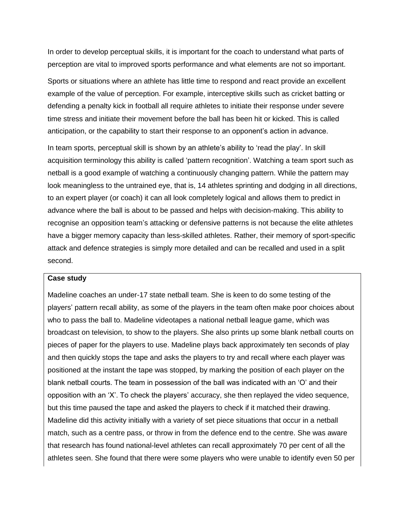In order to develop perceptual skills, it is important for the coach to understand what parts of perception are vital to improved sports performance and what elements are not so important.

Sports or situations where an athlete has little time to respond and react provide an excellent example of the value of perception. For example, interceptive skills such as cricket batting or defending a penalty kick in football all require athletes to initiate their response under severe time stress and initiate their movement before the ball has been hit or kicked. This is called anticipation, or the capability to start their response to an opponent's action in advance.

In team sports, perceptual skill is shown by an athlete's ability to 'read the play'. In skill acquisition terminology this ability is called 'pattern recognition'. Watching a team sport such as netball is a good example of watching a continuously changing pattern. While the pattern may look meaningless to the untrained eye, that is, 14 athletes sprinting and dodging in all directions, to an expert player (or coach) it can all look completely logical and allows them to predict in advance where the ball is about to be passed and helps with decision-making. This ability to recognise an opposition team's attacking or defensive patterns is not because the elite athletes have a bigger memory capacity than less-skilled athletes. Rather, their memory of sport-specific attack and defence strategies is simply more detailed and can be recalled and used in a split second.

#### **Case study**

Madeline coaches an under-17 state netball team. She is keen to do some testing of the players' pattern recall ability, as some of the players in the team often make poor choices about who to pass the ball to. Madeline videotapes a national netball league game, which was broadcast on television, to show to the players. She also prints up some blank netball courts on pieces of paper for the players to use. Madeline plays back approximately ten seconds of play and then quickly stops the tape and asks the players to try and recall where each player was positioned at the instant the tape was stopped, by marking the position of each player on the blank netball courts. The team in possession of the ball was indicated with an 'O' and their opposition with an 'X'. To check the players' accuracy, she then replayed the video sequence, but this time paused the tape and asked the players to check if it matched their drawing. Madeline did this activity initially with a variety of set piece situations that occur in a netball match, such as a centre pass, or throw in from the defence end to the centre. She was aware that research has found national-level athletes can recall approximately 70 per cent of all the athletes seen. She found that there were some players who were unable to identify even 50 per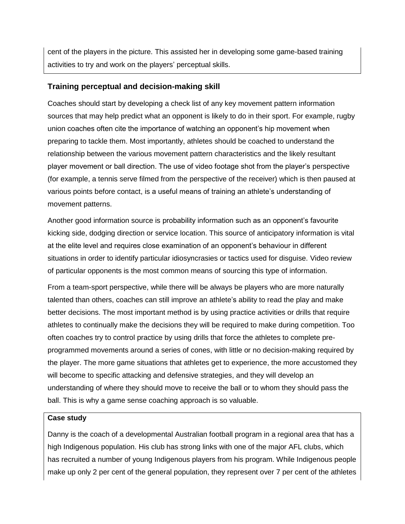cent of the players in the picture. This assisted her in developing some game-based training activities to try and work on the players' perceptual skills.

## **Training perceptual and decision-making skill**

Coaches should start by developing a check list of any key movement pattern information sources that may help predict what an opponent is likely to do in their sport. For example, rugby union coaches often cite the importance of watching an opponent's hip movement when preparing to tackle them. Most importantly, athletes should be coached to understand the relationship between the various movement pattern characteristics and the likely resultant player movement or ball direction. The use of video footage shot from the player's perspective (for example, a tennis serve filmed from the perspective of the receiver) which is then paused at various points before contact, is a useful means of training an athlete's understanding of movement patterns.

Another good information source is probability information such as an opponent's favourite kicking side, dodging direction or service location. This source of anticipatory information is vital at the elite level and requires close examination of an opponent's behaviour in different situations in order to identify particular idiosyncrasies or tactics used for disguise. Video review of particular opponents is the most common means of sourcing this type of information.

From a team-sport perspective, while there will be always be players who are more naturally talented than others, coaches can still improve an athlete's ability to read the play and make better decisions. The most important method is by using practice activities or drills that require athletes to continually make the decisions they will be required to make during competition. Too often coaches try to control practice by using drills that force the athletes to complete preprogrammed movements around a series of cones, with little or no decision-making required by the player. The more game situations that athletes get to experience, the more accustomed they will become to specific attacking and defensive strategies, and they will develop an understanding of where they should move to receive the ball or to whom they should pass the ball. This is why a game sense coaching approach is so valuable.

#### **Case study**

Danny is the coach of a developmental Australian football program in a regional area that has a high Indigenous population. His club has strong links with one of the major AFL clubs, which has recruited a number of young Indigenous players from his program. While Indigenous people make up only 2 per cent of the general population, they represent over 7 per cent of the athletes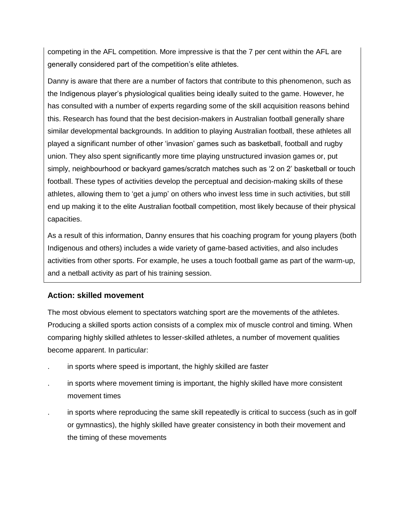competing in the AFL competition. More impressive is that the 7 per cent within the AFL are generally considered part of the competition's elite athletes.

Danny is aware that there are a number of factors that contribute to this phenomenon, such as the Indigenous player's physiological qualities being ideally suited to the game. However, he has consulted with a number of experts regarding some of the skill acquisition reasons behind this. Research has found that the best decision-makers in Australian football generally share similar developmental backgrounds. In addition to playing Australian football, these athletes all played a significant number of other 'invasion' games such as basketball, football and rugby union. They also spent significantly more time playing unstructured invasion games or, put simply, neighbourhood or backyard games/scratch matches such as '2 on 2' basketball or touch football. These types of activities develop the perceptual and decision-making skills of these athletes, allowing them to 'get a jump' on others who invest less time in such activities, but still end up making it to the elite Australian football competition, most likely because of their physical capacities.

As a result of this information, Danny ensures that his coaching program for young players (both Indigenous and others) includes a wide variety of game-based activities, and also includes activities from other sports. For example, he uses a touch football game as part of the warm-up, and a netball activity as part of his training session.

## **Action: skilled movement**

The most obvious element to spectators watching sport are the movements of the athletes. Producing a skilled sports action consists of a complex mix of muscle control and timing. When comparing highly skilled athletes to lesser-skilled athletes, a number of movement qualities become apparent. In particular:

- . in sports where speed is important, the highly skilled are faster
- . in sports where movement timing is important, the highly skilled have more consistent movement times
- . in sports where reproducing the same skill repeatedly is critical to success (such as in golf or gymnastics), the highly skilled have greater consistency in both their movement and the timing of these movements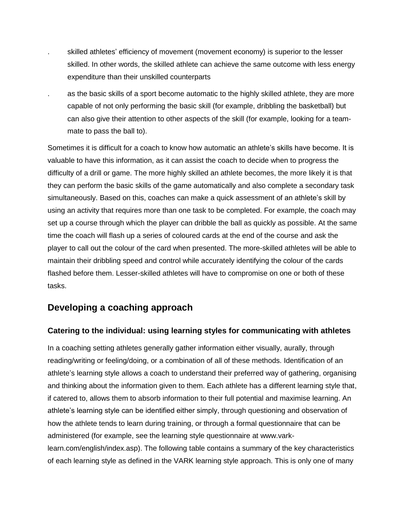- . skilled athletes' efficiency of movement (movement economy) is superior to the lesser skilled. In other words, the skilled athlete can achieve the same outcome with less energy expenditure than their unskilled counterparts
- . as the basic skills of a sport become automatic to the highly skilled athlete, they are more capable of not only performing the basic skill (for example, dribbling the basketball) but can also give their attention to other aspects of the skill (for example, looking for a teammate to pass the ball to).

Sometimes it is difficult for a coach to know how automatic an athlete's skills have become. It is valuable to have this information, as it can assist the coach to decide when to progress the difficulty of a drill or game. The more highly skilled an athlete becomes, the more likely it is that they can perform the basic skills of the game automatically and also complete a secondary task simultaneously. Based on this, coaches can make a quick assessment of an athlete's skill by using an activity that requires more than one task to be completed. For example, the coach may set up a course through which the player can dribble the ball as quickly as possible. At the same time the coach will flash up a series of coloured cards at the end of the course and ask the player to call out the colour of the card when presented. The more-skilled athletes will be able to maintain their dribbling speed and control while accurately identifying the colour of the cards flashed before them. Lesser-skilled athletes will have to compromise on one or both of these tasks.

## **Developing a coaching approach**

## **Catering to the individual: using learning styles for communicating with athletes**

In a coaching setting athletes generally gather information either visually, aurally, through reading/writing or feeling/doing, or a combination of all of these methods. Identification of an athlete's learning style allows a coach to understand their preferred way of gathering, organising and thinking about the information given to them. Each athlete has a different learning style that, if catered to, allows them to absorb information to their full potential and maximise learning. An athlete's learning style can be identified either simply, through questioning and observation of how the athlete tends to learn during training, or through a formal questionnaire that can be administered (for example, see the learning style questionnaire at www.varklearn.com/english/index.asp). The following table contains a summary of the key characteristics of each learning style as defined in the VARK learning style approach. This is only one of many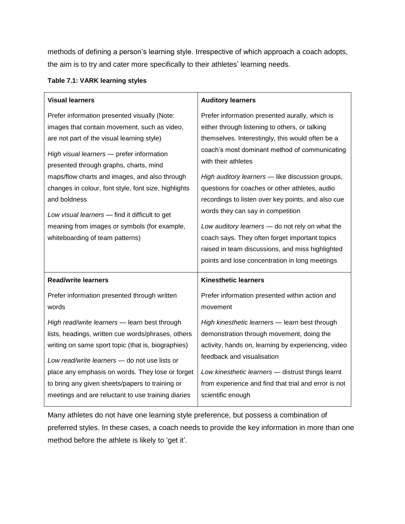methods of defining a person's learning style. Irrespective of which approach a coach adopts, the aim is to try and cater more specifically to their athletes' learning needs.

#### **Table 7.1: VARK learning styles**

| <b>Visual learners</b>                                                                                                                                                                                                                                                                                                                                                                                                                                                                          | <b>Auditory learners</b>                                                                                                                                                                                                                                                                                                                                                                                                                                                                                                                                                               |
|-------------------------------------------------------------------------------------------------------------------------------------------------------------------------------------------------------------------------------------------------------------------------------------------------------------------------------------------------------------------------------------------------------------------------------------------------------------------------------------------------|----------------------------------------------------------------------------------------------------------------------------------------------------------------------------------------------------------------------------------------------------------------------------------------------------------------------------------------------------------------------------------------------------------------------------------------------------------------------------------------------------------------------------------------------------------------------------------------|
| Prefer information presented visually (Note:<br>images that contain movement, such as video,<br>are not part of the visual learning style)<br>High visual learners - prefer information<br>presented through graphs, charts, mind<br>maps/flow charts and images, and also through<br>changes in colour, font style, font size, highlights<br>and boldness<br>Low visual learners - find it difficult to get<br>meaning from images or symbols (for example,<br>whiteboarding of team patterns) | Prefer information presented aurally, which is<br>either through listening to others, or talking<br>themselves. Interestingly, this would often be a<br>coach's most dominant method of communicating<br>with their athletes<br>High auditory learners - like discussion groups,<br>questions for coaches or other athletes, audio<br>recordings to listen over key points, and also cue<br>words they can say in competition<br>Low auditory learners - do not rely on what the<br>coach says. They often forget important topics<br>raised in team discussions, and miss highlighted |
| <b>Read/write learners</b>                                                                                                                                                                                                                                                                                                                                                                                                                                                                      | points and lose concentration in long meetings<br><b>Kinesthetic learners</b>                                                                                                                                                                                                                                                                                                                                                                                                                                                                                                          |
| Prefer information presented through written<br>words                                                                                                                                                                                                                                                                                                                                                                                                                                           | Prefer information presented within action and<br>movement                                                                                                                                                                                                                                                                                                                                                                                                                                                                                                                             |
| High read/write learners - learn best through<br>lists, headings, written cue words/phrases, others<br>writing on same sport topic (that is, biographies)<br>Low read/write learners - do not use lists or<br>place any emphasis on words. They lose or forget                                                                                                                                                                                                                                  | High kinesthetic learners - learn best through<br>demonstration through movement, doing the<br>activity, hands on, learning by experiencing, video<br>feedback and visualisation<br>Low kinesthetic learners - distrust things learnt                                                                                                                                                                                                                                                                                                                                                  |
| to bring any given sheets/papers to training or<br>meetings and are reluctant to use training diaries                                                                                                                                                                                                                                                                                                                                                                                           | from experience and find that trial and error is not                                                                                                                                                                                                                                                                                                                                                                                                                                                                                                                                   |

Many athletes do not have one learning style preference, but possess a combination of preferred styles. In these cases, a coach needs to provide the key information in more than one method before the athlete is likely to 'get it'.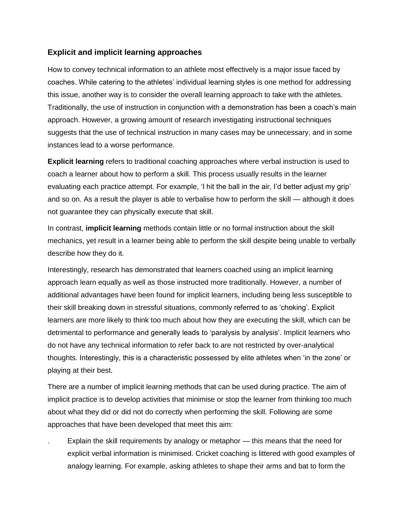## **Explicit and implicit learning approaches**

How to convey technical information to an athlete most effectively is a major issue faced by coaches. While catering to the athletes' individual learning styles is one method for addressing this issue, another way is to consider the overall learning approach to take with the athletes. Traditionally, the use of instruction in conjunction with a demonstration has been a coach's main approach. However, a growing amount of research investigating instructional techniques suggests that the use of technical instruction in many cases may be unnecessary, and in some instances lead to a worse performance.

**Explicit learning** refers to traditional coaching approaches where verbal instruction is used to coach a learner about how to perform a skill. This process usually results in the learner evaluating each practice attempt. For example, 'I hit the ball in the air, I'd better adjust my grip' and so on. As a result the player is able to verbalise how to perform the skill — although it does not guarantee they can physically execute that skill.

In contrast, **implicit learning** methods contain little or no formal instruction about the skill mechanics, yet result in a learner being able to perform the skill despite being unable to verbally describe how they do it.

Interestingly, research has demonstrated that learners coached using an implicit learning approach learn equally as well as those instructed more traditionally. However, a number of additional advantages have been found for implicit learners, including being less susceptible to their skill breaking down in stressful situations, commonly referred to as 'choking'. Explicit learners are more likely to think too much about how they are executing the skill, which can be detrimental to performance and generally leads to 'paralysis by analysis'. Implicit learners who do not have any technical information to refer back to are not restricted by over-analytical thoughts. Interestingly, this is a characteristic possessed by elite athletes when 'in the zone' or playing at their best.

There are a number of implicit learning methods that can be used during practice. The aim of implicit practice is to develop activities that minimise or stop the learner from thinking too much about what they did or did not do correctly when performing the skill. Following are some approaches that have been developed that meet this aim:

Explain the skill requirements by analogy or metaphor — this means that the need for explicit verbal information is minimised. Cricket coaching is littered with good examples of analogy learning. For example, asking athletes to shape their arms and bat to form the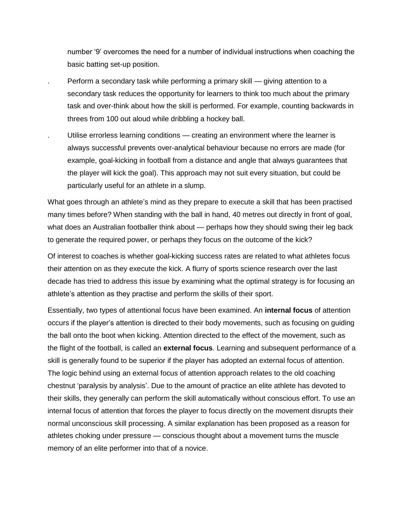number '9' overcomes the need for a number of individual instructions when coaching the basic batting set-up position.

- . Perform a secondary task while performing a primary skill giving attention to a secondary task reduces the opportunity for learners to think too much about the primary task and over-think about how the skill is performed. For example, counting backwards in threes from 100 out aloud while dribbling a hockey ball.
	- . Utilise errorless learning conditions creating an environment where the learner is always successful prevents over-analytical behaviour because no errors are made (for example, goal-kicking in football from a distance and angle that always guarantees that the player will kick the goal). This approach may not suit every situation, but could be particularly useful for an athlete in a slump.

What goes through an athlete's mind as they prepare to execute a skill that has been practised many times before? When standing with the ball in hand, 40 metres out directly in front of goal, what does an Australian footballer think about — perhaps how they should swing their leg back to generate the required power, or perhaps they focus on the outcome of the kick?

Of interest to coaches is whether goal-kicking success rates are related to what athletes focus their attention on as they execute the kick. A flurry of sports science research over the last decade has tried to address this issue by examining what the optimal strategy is for focusing an athlete's attention as they practise and perform the skills of their sport.

Essentially, two types of attentional focus have been examined. An **internal focus** of attention occurs if the player's attention is directed to their body movements, such as focusing on guiding the ball onto the boot when kicking. Attention directed to the effect of the movement, such as the flight of the football, is called an **external focus**. Learning and subsequent performance of a skill is generally found to be superior if the player has adopted an external focus of attention. The logic behind using an external focus of attention approach relates to the old coaching chestnut 'paralysis by analysis'. Due to the amount of practice an elite athlete has devoted to their skills, they generally can perform the skill automatically without conscious effort. To use an internal focus of attention that forces the player to focus directly on the movement disrupts their normal unconscious skill processing. A similar explanation has been proposed as a reason for athletes choking under pressure — conscious thought about a movement turns the muscle memory of an elite performer into that of a novice.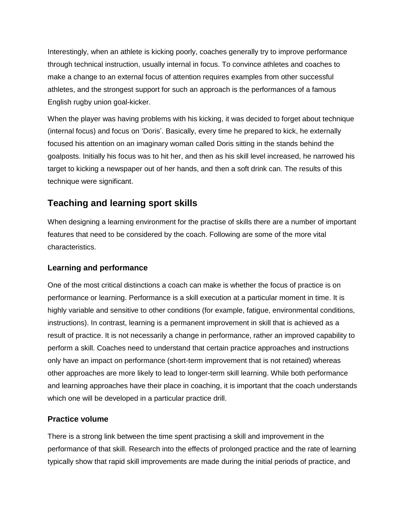Interestingly, when an athlete is kicking poorly, coaches generally try to improve performance through technical instruction, usually internal in focus. To convince athletes and coaches to make a change to an external focus of attention requires examples from other successful athletes, and the strongest support for such an approach is the performances of a famous English rugby union goal-kicker.

When the player was having problems with his kicking, it was decided to forget about technique (internal focus) and focus on 'Doris'. Basically, every time he prepared to kick, he externally focused his attention on an imaginary woman called Doris sitting in the stands behind the goalposts. Initially his focus was to hit her, and then as his skill level increased, he narrowed his target to kicking a newspaper out of her hands, and then a soft drink can. The results of this technique were significant.

## **Teaching and learning sport skills**

When designing a learning environment for the practise of skills there are a number of important features that need to be considered by the coach. Following are some of the more vital characteristics.

## **Learning and performance**

One of the most critical distinctions a coach can make is whether the focus of practice is on performance or learning. Performance is a skill execution at a particular moment in time. It is highly variable and sensitive to other conditions (for example, fatigue, environmental conditions, instructions). In contrast, learning is a permanent improvement in skill that is achieved as a result of practice. It is not necessarily a change in performance, rather an improved capability to perform a skill. Coaches need to understand that certain practice approaches and instructions only have an impact on performance (short-term improvement that is not retained) whereas other approaches are more likely to lead to longer-term skill learning. While both performance and learning approaches have their place in coaching, it is important that the coach understands which one will be developed in a particular practice drill.

## **Practice volume**

There is a strong link between the time spent practising a skill and improvement in the performance of that skill. Research into the effects of prolonged practice and the rate of learning typically show that rapid skill improvements are made during the initial periods of practice, and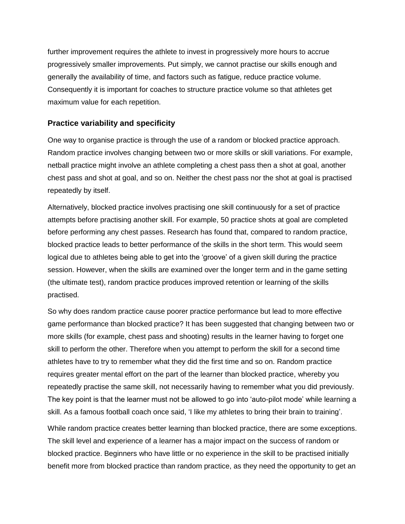further improvement requires the athlete to invest in progressively more hours to accrue progressively smaller improvements. Put simply, we cannot practise our skills enough and generally the availability of time, and factors such as fatigue, reduce practice volume. Consequently it is important for coaches to structure practice volume so that athletes get maximum value for each repetition.

## **Practice variability and specificity**

One way to organise practice is through the use of a random or blocked practice approach. Random practice involves changing between two or more skills or skill variations. For example, netball practice might involve an athlete completing a chest pass then a shot at goal, another chest pass and shot at goal, and so on. Neither the chest pass nor the shot at goal is practised repeatedly by itself.

Alternatively, blocked practice involves practising one skill continuously for a set of practice attempts before practising another skill. For example, 50 practice shots at goal are completed before performing any chest passes. Research has found that, compared to random practice, blocked practice leads to better performance of the skills in the short term. This would seem logical due to athletes being able to get into the 'groove' of a given skill during the practice session. However, when the skills are examined over the longer term and in the game setting (the ultimate test), random practice produces improved retention or learning of the skills practised.

So why does random practice cause poorer practice performance but lead to more effective game performance than blocked practice? It has been suggested that changing between two or more skills (for example, chest pass and shooting) results in the learner having to forget one skill to perform the other. Therefore when you attempt to perform the skill for a second time athletes have to try to remember what they did the first time and so on. Random practice requires greater mental effort on the part of the learner than blocked practice, whereby you repeatedly practise the same skill, not necessarily having to remember what you did previously. The key point is that the learner must not be allowed to go into 'auto-pilot mode' while learning a skill. As a famous football coach once said, 'I like my athletes to bring their brain to training'.

While random practice creates better learning than blocked practice, there are some exceptions. The skill level and experience of a learner has a major impact on the success of random or blocked practice. Beginners who have little or no experience in the skill to be practised initially benefit more from blocked practice than random practice, as they need the opportunity to get an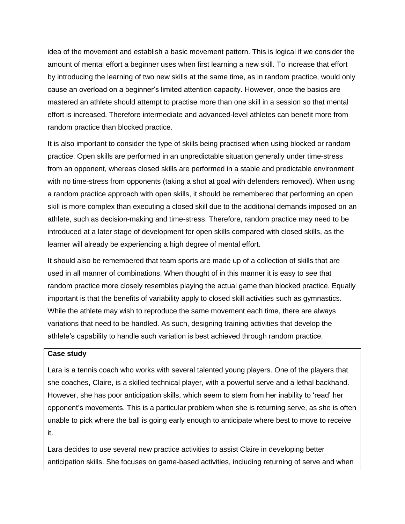idea of the movement and establish a basic movement pattern. This is logical if we consider the amount of mental effort a beginner uses when first learning a new skill. To increase that effort by introducing the learning of two new skills at the same time, as in random practice, would only cause an overload on a beginner's limited attention capacity. However, once the basics are mastered an athlete should attempt to practise more than one skill in a session so that mental effort is increased. Therefore intermediate and advanced-level athletes can benefit more from random practice than blocked practice.

It is also important to consider the type of skills being practised when using blocked or random practice. Open skills are performed in an unpredictable situation generally under time-stress from an opponent, whereas closed skills are performed in a stable and predictable environment with no time-stress from opponents (taking a shot at goal with defenders removed). When using a random practice approach with open skills, it should be remembered that performing an open skill is more complex than executing a closed skill due to the additional demands imposed on an athlete, such as decision-making and time-stress. Therefore, random practice may need to be introduced at a later stage of development for open skills compared with closed skills, as the learner will already be experiencing a high degree of mental effort.

It should also be remembered that team sports are made up of a collection of skills that are used in all manner of combinations. When thought of in this manner it is easy to see that random practice more closely resembles playing the actual game than blocked practice. Equally important is that the benefits of variability apply to closed skill activities such as gymnastics. While the athlete may wish to reproduce the same movement each time, there are always variations that need to be handled. As such, designing training activities that develop the athlete's capability to handle such variation is best achieved through random practice.

#### **Case study**

Lara is a tennis coach who works with several talented young players. One of the players that she coaches, Claire, is a skilled technical player, with a powerful serve and a lethal backhand. However, she has poor anticipation skills, which seem to stem from her inability to 'read' her opponent's movements. This is a particular problem when she is returning serve, as she is often unable to pick where the ball is going early enough to anticipate where best to move to receive it.

Lara decides to use several new practice activities to assist Claire in developing better anticipation skills. She focuses on game-based activities, including returning of serve and when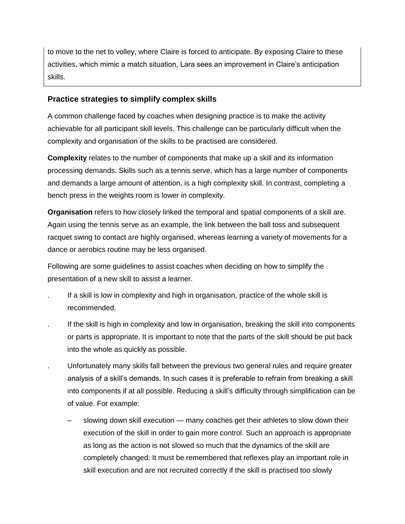to move to the net to volley, where Claire is forced to anticipate. By exposing Claire to these activities, which mimic a match situation, Lara sees an improvement in Claire's anticipation skills.

### **Practice strategies to simplify complex skills**

A common challenge faced by coaches when designing practice is to make the activity achievable for all participant skill levels. This challenge can be particularly difficult when the complexity and organisation of the skills to be practised are considered.

**Complexity** relates to the number of components that make up a skill and its information processing demands. Skills such as a tennis serve, which has a large number of components and demands a large amount of attention, is a high complexity skill. In contrast, completing a bench press in the weights room is lower in complexity.

**Organisation** refers to how closely linked the temporal and spatial components of a skill are. Again using the tennis serve as an example, the link between the ball toss and subsequent racquet swing to contact are highly organised, whereas learning a variety of movements for a dance or aerobics routine may be less organised.

Following are some guidelines to assist coaches when deciding on how to simplify the presentation of a new skill to assist a learner.

- . If a skill is low in complexity and high in organisation, practice of the whole skill is recommended.
- . If the skill is high in complexity and low in organisation, breaking the skill into components or parts is appropriate. It is important to note that the parts of the skill should be put back into the whole as quickly as possible.
- . Unfortunately many skills fall between the previous two general rules and require greater analysis of a skill's demands. In such cases it is preferable to refrain from breaking a skill into components if at all possible. Reducing a skill's difficulty through simplification can be of value. For example:
	- slowing down skill execution many coaches get their athletes to slow down their execution of the skill in order to gain more control. Such an approach is appropriate as long as the action is not slowed so much that the dynamics of the skill are completely changed. It must be remembered that reflexes play an important role in skill execution and are not recruited correctly if the skill is practised too slowly